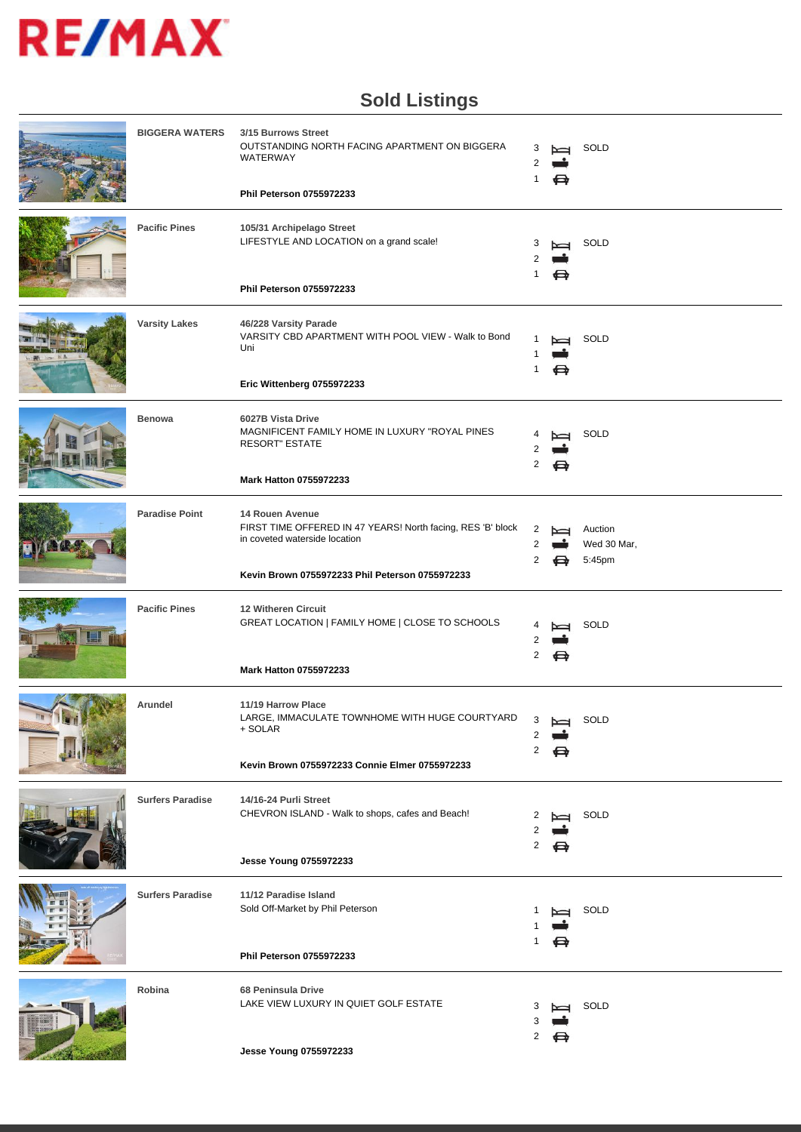

#### **Sold Listings**

| <b>BIGGERA WATERS</b>   | 3/15 Burrows Street<br>OUTSTANDING NORTH FACING APARTMENT ON BIGGERA<br>WATERWAY<br>Phil Peterson 0755972233                                                       | 1      | ⇔ | SOLD                             |
|-------------------------|--------------------------------------------------------------------------------------------------------------------------------------------------------------------|--------|---|----------------------------------|
| <b>Pacific Pines</b>    | 105/31 Archipelago Street<br>LIFESTYLE AND LOCATION on a grand scale!<br>Phil Peterson 0755972233                                                                  | 3<br>1 |   | SOLD                             |
| <b>Varsity Lakes</b>    | 46/228 Varsity Parade<br>VARSITY CBD APARTMENT WITH POOL VIEW - Walk to Bond<br>Uni<br>Eric Wittenberg 0755972233                                                  | 1      | ⇔ | SOLD                             |
| <b>Benowa</b>           | 6027B Vista Drive<br>MAGNIFICENT FAMILY HOME IN LUXURY "ROYAL PINES<br><b>RESORT" ESTATE</b><br>Mark Hatton 0755972233                                             | 2      | ⇔ | SOLD                             |
| <b>Paradise Point</b>   | 14 Rouen Avenue<br>FIRST TIME OFFERED IN 47 YEARS! North facing, RES 'B' block<br>in coveted waterside location<br>Kevin Brown 0755972233 Phil Peterson 0755972233 | 2<br>2 | ⇔ | Auction<br>Wed 30 Mar,<br>5:45pm |
| <b>Pacific Pines</b>    | 12 Witheren Circuit<br>GREAT LOCATION   FAMILY HOME   CLOSE TO SCHOOLS<br><b>Mark Hatton 0755972233</b>                                                            | 2      | ⇔ | SOLD                             |
| Arundel                 | 11/19 Harrow Place<br>LARGE, IMMACULATE TOWNHOME WITH HUGE COURTYARD<br>+ SOLAR<br>Kevin Brown 0755972233 Connie Elmer 0755972233                                  |        |   | 3 best SOLD                      |
| <b>Surfers Paradise</b> | 14/16-24 Purli Street<br>CHEVRON ISLAND - Walk to shops, cafes and Beach!<br>Jesse Young 0755972233                                                                | 2      |   | SOLD                             |
| <b>Surfers Paradise</b> | 11/12 Paradise Island<br>Sold Off-Market by Phil Peterson<br>Phil Peterson 0755972233                                                                              |        |   | SOLD                             |
| Robina                  | 68 Peninsula Drive<br>LAKE VIEW LUXURY IN QUIET GOLF ESTATE<br>Jesse Young 0755972233                                                                              | 3<br>2 | ⇔ | SOLD                             |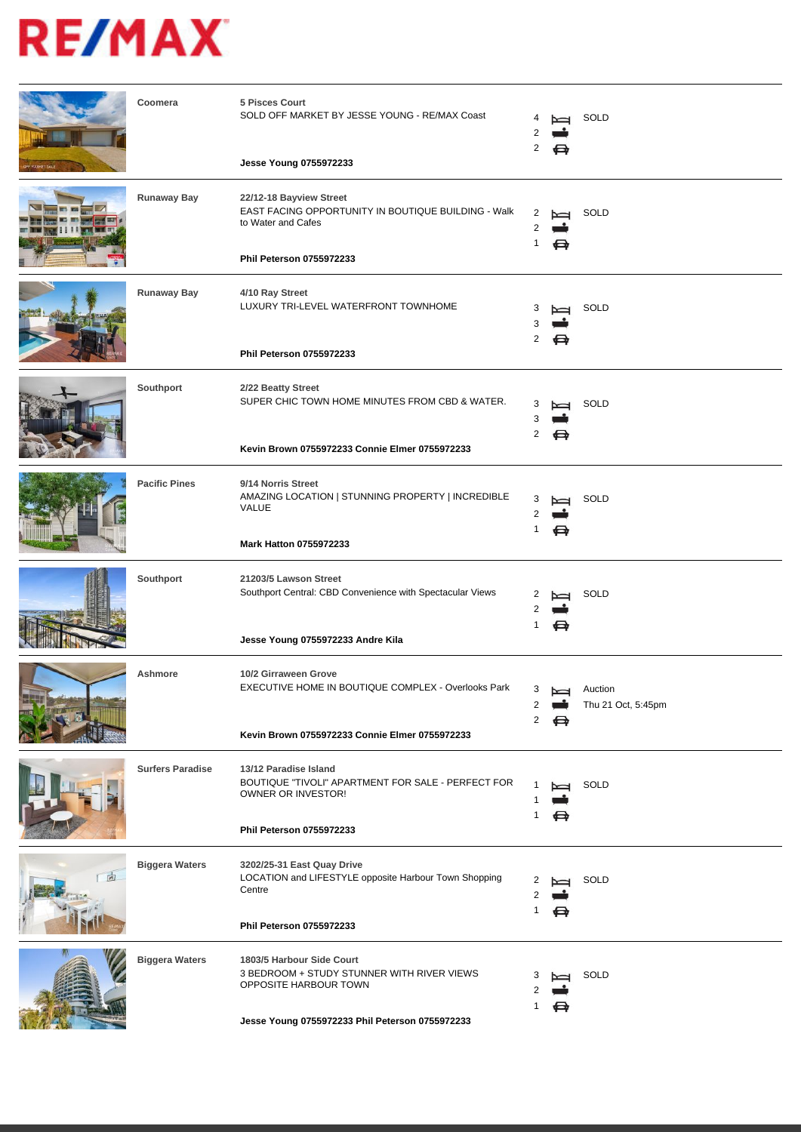|   | Coomera                 | 5 Pisces Court<br>SOLD OFF MARKET BY JESSE YOUNG - RE/MAX Coast<br>Jesse Young 0755972233                                                           | 2           | ⊖      | SOLD                          |
|---|-------------------------|-----------------------------------------------------------------------------------------------------------------------------------------------------|-------------|--------|-------------------------------|
|   |                         |                                                                                                                                                     |             |        |                               |
|   | Runaway Bay             | 22/12-18 Bayview Street<br>EAST FACING OPPORTUNITY IN BOUTIQUE BUILDING - Walk<br>to Water and Cafes<br>Phil Peterson 0755972233                    | 2<br>1      | ⇔      | SOLD                          |
|   | Runaway Bay             | 4/10 Ray Street<br>LUXURY TRI-LEVEL WATERFRONT TOWNHOME<br>Phil Peterson 0755972233                                                                 | 3<br>2      | ⇔      | SOLD                          |
|   | Southport               | 2/22 Beatty Street<br>SUPER CHIC TOWN HOME MINUTES FROM CBD & WATER.<br>Kevin Brown 0755972233 Connie Elmer 0755972233                              | 3<br>2      | ⇔      | SOLD                          |
|   | <b>Pacific Pines</b>    | 9/14 Norris Street<br>AMAZING LOCATION   STUNNING PROPERTY   INCREDIBLE<br><b>VALUE</b><br><b>Mark Hatton 0755972233</b>                            | З<br>1      | ⇔      | SOLD                          |
|   | Southport               | 21203/5 Lawson Street<br>Southport Central: CBD Convenience with Spectacular Views<br>Jesse Young 0755972233 Andre Kila                             | 2           |        | SOLD                          |
|   | Ashmore                 | 10/2 Girraween Grove<br>EXECUTIVE HOME IN BOUTIQUE COMPLEX - Overlooks Park<br>Kevin Brown 0755972233 Connie Elmer 0755972233                       | 3<br>2<br>2 | Z<br>⇔ | Auction<br>Thu 21 Oct, 5:45pm |
|   | <b>Surfers Paradise</b> | 13/12 Paradise Island<br>BOUTIQUE "TIVOLI" APARTMENT FOR SALE - PERFECT FOR<br>OWNER OR INVESTOR!<br>Phil Peterson 0755972233                       |             | ⇔      | SOLD                          |
| 向 | <b>Biggera Waters</b>   | 3202/25-31 East Quay Drive<br>LOCATION and LIFESTYLE opposite Harbour Town Shopping<br>Centre<br>Phil Peterson 0755972233                           | 1           | ⇔      | SOLD                          |
|   | <b>Biggera Waters</b>   | 1803/5 Harbour Side Court<br>3 BEDROOM + STUDY STUNNER WITH RIVER VIEWS<br>OPPOSITE HARBOUR TOWN<br>Jesse Young 0755972233 Phil Peterson 0755972233 | З<br>1      | ⇔      | SOLD                          |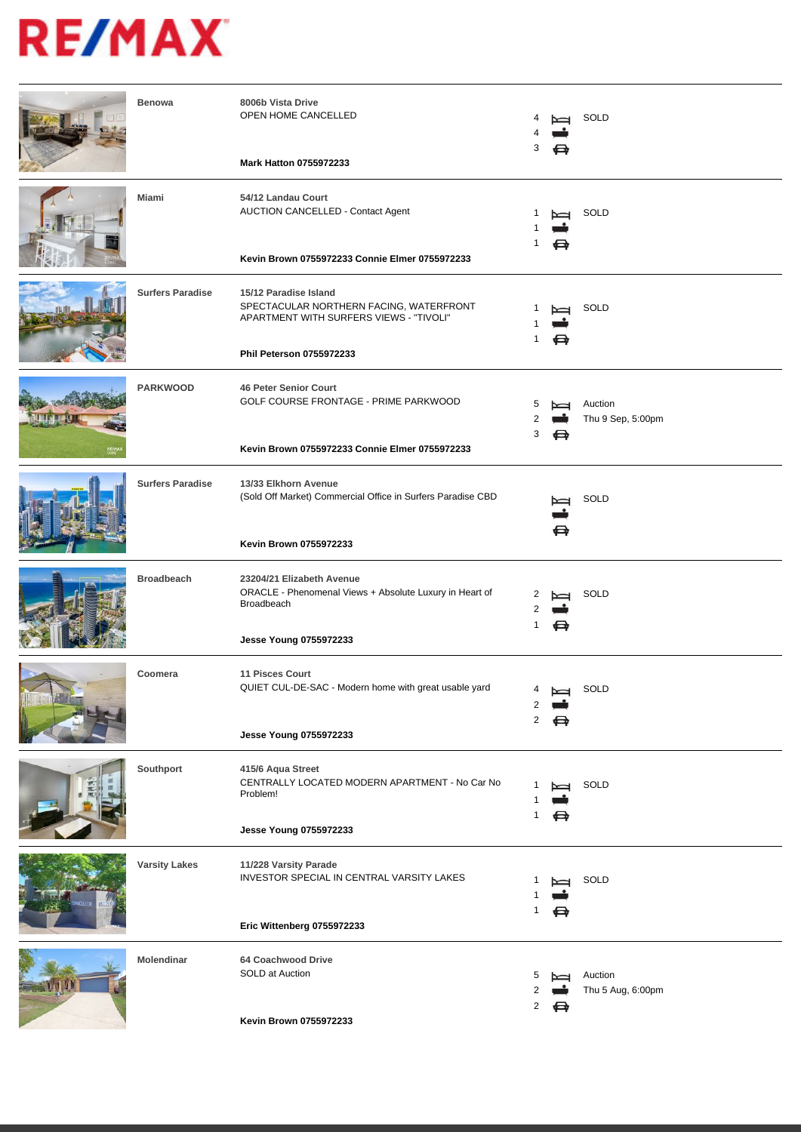| <b>Benowa</b>           | 8006b Vista Drive<br>OPEN HOME CANCELLED<br><b>Mark Hatton 0755972233</b>                                                               | 3      |                     | SOLD                         |
|-------------------------|-----------------------------------------------------------------------------------------------------------------------------------------|--------|---------------------|------------------------------|
| Miami                   | 54/12 Landau Court<br>AUCTION CANCELLED - Contact Agent<br>Kevin Brown 0755972233 Connie Elmer 0755972233                               | 1      | $\overline{ }$<br>⇔ | SOLD                         |
| <b>Surfers Paradise</b> | 15/12 Paradise Island<br>SPECTACULAR NORTHERN FACING, WATERFRONT<br>APARTMENT WITH SURFERS VIEWS - "TIVOLI"<br>Phil Peterson 0755972233 | -1     | ⇔                   | SOLD                         |
| <b>PARKWOOD</b>         | <b>46 Peter Senior Court</b><br>GOLF COURSE FRONTAGE - PRIME PARKWOOD<br>Kevin Brown 0755972233 Connie Elmer 0755972233                 | 5<br>3 | ⇔                   | Auction<br>Thu 9 Sep, 5:00pm |
| <b>Surfers Paradise</b> | 13/33 Elkhorn Avenue<br>(Sold Off Market) Commercial Office in Surfers Paradise CBD<br>Kevin Brown 0755972233                           |        |                     | SOLD                         |
| <b>Broadbeach</b>       | 23204/21 Elizabeth Avenue<br>ORACLE - Phenomenal Views + Absolute Luxury in Heart of<br>Broadbeach<br>Jesse Young 0755972233            | 1      | ⇔                   | SOLD                         |
| Coomera                 | <b>11 Pisces Court</b><br>QUIET CUL-DE-SAC - Modern home with great usable yard<br>Jesse Young 0755972233                               | 2      | ⇔                   | SOLD                         |
| Southport               | 415/6 Aqua Street<br>CENTRALLY LOCATED MODERN APARTMENT - No Car No<br>Problem!<br>Jesse Young 0755972233                               | 1      | ⇔                   | SOLD                         |
| <b>Varsity Lakes</b>    | 11/228 Varsity Parade<br>INVESTOR SPECIAL IN CENTRAL VARSITY LAKES<br>Eric Wittenberg 0755972233                                        | 1      |                     | SOLD                         |
| Molendinar              | 64 Coachwood Drive<br>SOLD at Auction<br>Kevin Brown 0755972233                                                                         | 5<br>2 | ⇔                   | Auction<br>Thu 5 Aug, 6:00pm |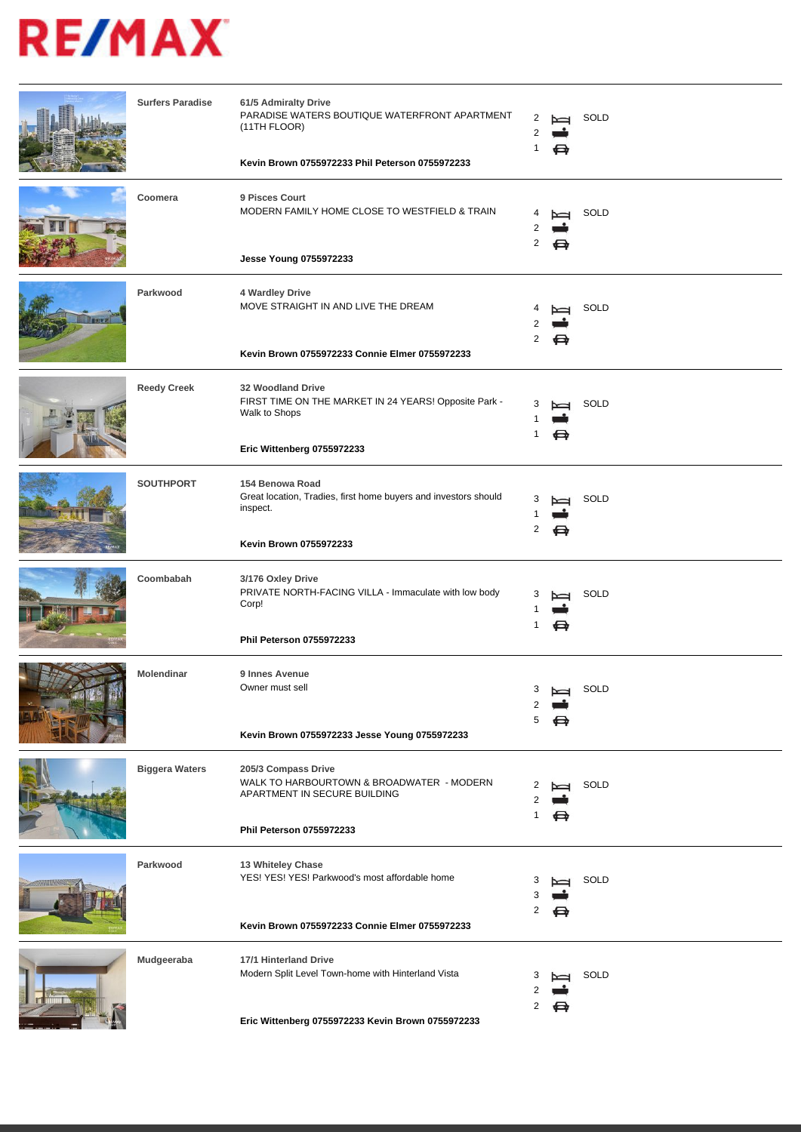| <b>Surfers Paradise</b> | 61/5 Admiralty Drive<br>PARADISE WATERS BOUTIQUE WATERFRONT APARTMENT<br>(11TH FLOOR)<br>Kevin Brown 0755972233 Phil Peterson 0755972233 | 2      | ⇔                  | SOLD |
|-------------------------|------------------------------------------------------------------------------------------------------------------------------------------|--------|--------------------|------|
| Coomera                 | 9 Pisces Court<br>MODERN FAMILY HOME CLOSE TO WESTFIELD & TRAIN<br>Jesse Young 0755972233                                                | 2      | ⇔                  | SOLD |
| Parkwood                | 4 Wardley Drive<br>MOVE STRAIGHT IN AND LIVE THE DREAM<br>Kevin Brown 0755972233 Connie Elmer 0755972233                                 | 2      | ⇔                  | SOLD |
| <b>Reedy Creek</b>      | 32 Woodland Drive<br>FIRST TIME ON THE MARKET IN 24 YEARS! Opposite Park -<br>Walk to Shops<br>Eric Wittenberg 0755972233                |        |                    | SOLD |
| <b>SOUTHPORT</b>        | 154 Benowa Road<br>Great location, Tradies, first home buyers and investors should<br>inspect.<br>Kevin Brown 0755972233                 | 3<br>2 | ⊖                  | SOLD |
| Coombabah               | 3/176 Oxley Drive<br>PRIVATE NORTH-FACING VILLA - Immaculate with low body<br>Corp!<br>Phil Peterson 0755972233                          | 3<br>1 | $\overline{}$<br>⇔ | SOLD |
| Molendinar              | 9 Innes Avenue<br>Owner must sell<br>Kevin Brown 0755972233 Jesse Young 0755972233                                                       | З      |                    | SOLD |
| <b>Biggera Waters</b>   | 205/3 Compass Drive<br>WALK TO HARBOURTOWN & BROADWATER - MODERN<br>APARTMENT IN SECURE BUILDING<br>Phil Peterson 0755972233             |        | ⇔                  | SOLD |
| Parkwood                | 13 Whiteley Chase<br>YES! YES! YES! Parkwood's most affordable home<br>Kevin Brown 0755972233 Connie Elmer 0755972233                    | 3<br>2 |                    | SOLD |
| Mudgeeraba              | 17/1 Hinterland Drive<br>Modern Split Level Town-home with Hinterland Vista<br>Eric Wittenberg 0755972233 Kevin Brown 0755972233         | 2      | ⇔                  | SOLD |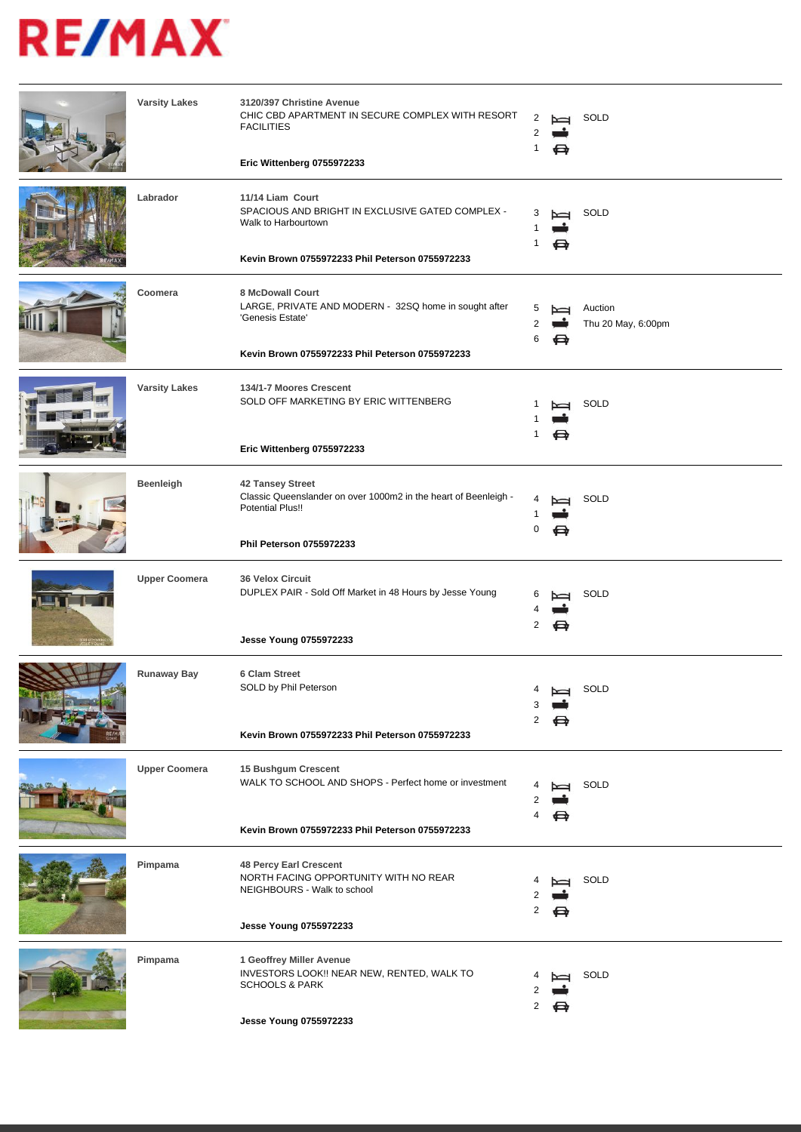| <b>Varsity Lakes</b> | 3120/397 Christine Avenue<br>CHIC CBD APARTMENT IN SECURE COMPLEX WITH RESORT<br><b>FACILITIES</b><br>Eric Wittenberg 0755972233                        | 1      | ⇔ | SOLD                          |
|----------------------|---------------------------------------------------------------------------------------------------------------------------------------------------------|--------|---|-------------------------------|
| Labrador             | 11/14 Liam Court<br>SPACIOUS AND BRIGHT IN EXCLUSIVE GATED COMPLEX -<br>Walk to Harbourtown<br>Kevin Brown 0755972233 Phil Peterson 0755972233          | 3<br>1 | ⇔ | SOLD                          |
| Coomera              | <b>8 McDowall Court</b><br>LARGE, PRIVATE AND MODERN - 32SQ home in sought after<br>'Genesis Estate'<br>Kevin Brown 0755972233 Phil Peterson 0755972233 | 5<br>6 | ⇔ | Auction<br>Thu 20 May, 6:00pm |
| <b>Varsity Lakes</b> | 134/1-7 Moores Crescent<br>SOLD OFF MARKETING BY ERIC WITTENBERG<br>Eric Wittenberg 0755972233                                                          | 1      | ⇔ | SOLD                          |
| Beenleigh            | 42 Tansey Street<br>Classic Queenslander on over 1000m2 in the heart of Beenleigh -<br><b>Potential Plus!!</b><br>Phil Peterson 0755972233              | 0      |   | SOLD                          |
| <b>Upper Coomera</b> | <b>36 Velox Circuit</b><br>DUPLEX PAIR - Sold Off Market in 48 Hours by Jesse Young<br>Jesse Young 0755972233                                           | 6<br>2 | ⊖ | SOLD                          |
| Runaway Bay          | 6 Clam Street<br>SOLD by Phil Peterson<br>Kevin Brown 0755972233 Phil Peterson 0755972233                                                               |        |   | SOLD                          |
| <b>Upper Coomera</b> | 15 Bushgum Crescent<br>WALK TO SCHOOL AND SHOPS - Perfect home or investment<br>Kevin Brown 0755972233 Phil Peterson 0755972233                         |        | ⇔ | SOLD                          |
| Pimpama              | <b>48 Percy Earl Crescent</b><br>NORTH FACING OPPORTUNITY WITH NO REAR<br>NEIGHBOURS - Walk to school<br>Jesse Young 0755972233                         | 2      | ⇔ | SOLD                          |
| Pimpama              | 1 Geoffrey Miller Avenue<br>INVESTORS LOOK!! NEAR NEW, RENTED, WALK TO<br><b>SCHOOLS &amp; PARK</b><br>Jesse Young 0755972233                           | 2      |   | SOLD                          |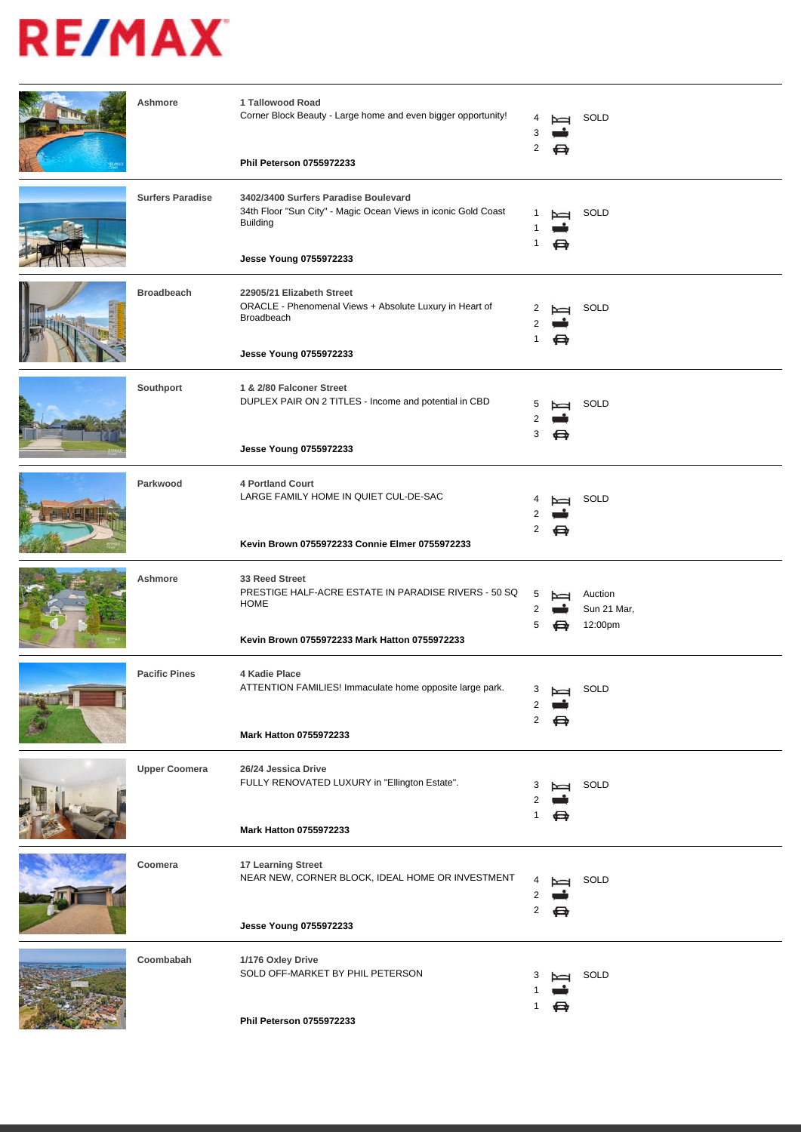| Ashmore                 | 1 Tallowood Road<br>Corner Block Beauty - Large home and even bigger opportunity!<br><b>Phil Peterson 0755972233</b>                                | 2           | ⇔           | SOLD                              |
|-------------------------|-----------------------------------------------------------------------------------------------------------------------------------------------------|-------------|-------------|-----------------------------------|
|                         |                                                                                                                                                     |             |             |                                   |
| <b>Surfers Paradise</b> | 3402/3400 Surfers Paradise Boulevard<br>34th Floor "Sun City" - Magic Ocean Views in iconic Gold Coast<br><b>Building</b><br>Jesse Young 0755972233 | 1           | ⇔           | SOLD                              |
| <b>Broadbeach</b>       | 22905/21 Elizabeth Street<br>ORACLE - Phenomenal Views + Absolute Luxury in Heart of<br>Broadbeach<br>Jesse Young 0755972233                        | 1           | ⇔           | SOLD                              |
| Southport               | 1 & 2/80 Falconer Street<br>DUPLEX PAIR ON 2 TITLES - Income and potential in CBD<br>Jesse Young 0755972233                                         | 3           | ⇔           | SOLD                              |
| Parkwood                | <b>4 Portland Court</b><br>LARGE FAMILY HOME IN QUIET CUL-DE-SAC<br>Kevin Brown 0755972233 Connie Elmer 0755972233                                  | 2           | ⇔           | SOLD                              |
| Ashmore                 | 33 Reed Street<br>PRESTIGE HALF-ACRE ESTATE IN PARADISE RIVERS - 50 SQ<br><b>HOME</b><br>Kevin Brown 0755972233 Mark Hatton 0755972233              | 5           |             | Auction<br>Sun 21 Mar,<br>12:00pm |
| <b>Pacific Pines</b>    | 4 Kadie Place<br>ATTENTION FAMILIES! Immaculate home opposite large park.<br><b>Mark Hatton 0755972233</b>                                          | 3<br>2<br>2 | $\sim$<br>⇔ | SOLD                              |
| <b>Upper Coomera</b>    | 26/24 Jessica Drive<br>FULLY RENOVATED LUXURY in "Ellington Estate".                                                                                | 3<br>1      | ⇔           | SOLD                              |
|                         | <b>Mark Hatton 0755972233</b>                                                                                                                       |             |             |                                   |
| Coomera                 | 17 Learning Street<br>NEAR NEW, CORNER BLOCK, IDEAL HOME OR INVESTMENT<br>Jesse Young 0755972233                                                    | 2           | ⇔           | SOLD                              |
| Coombabah               | 1/176 Oxley Drive<br>SOLD OFF-MARKET BY PHIL PETERSON<br>Phil Peterson 0755972233                                                                   |             | ⇔           | SOLD                              |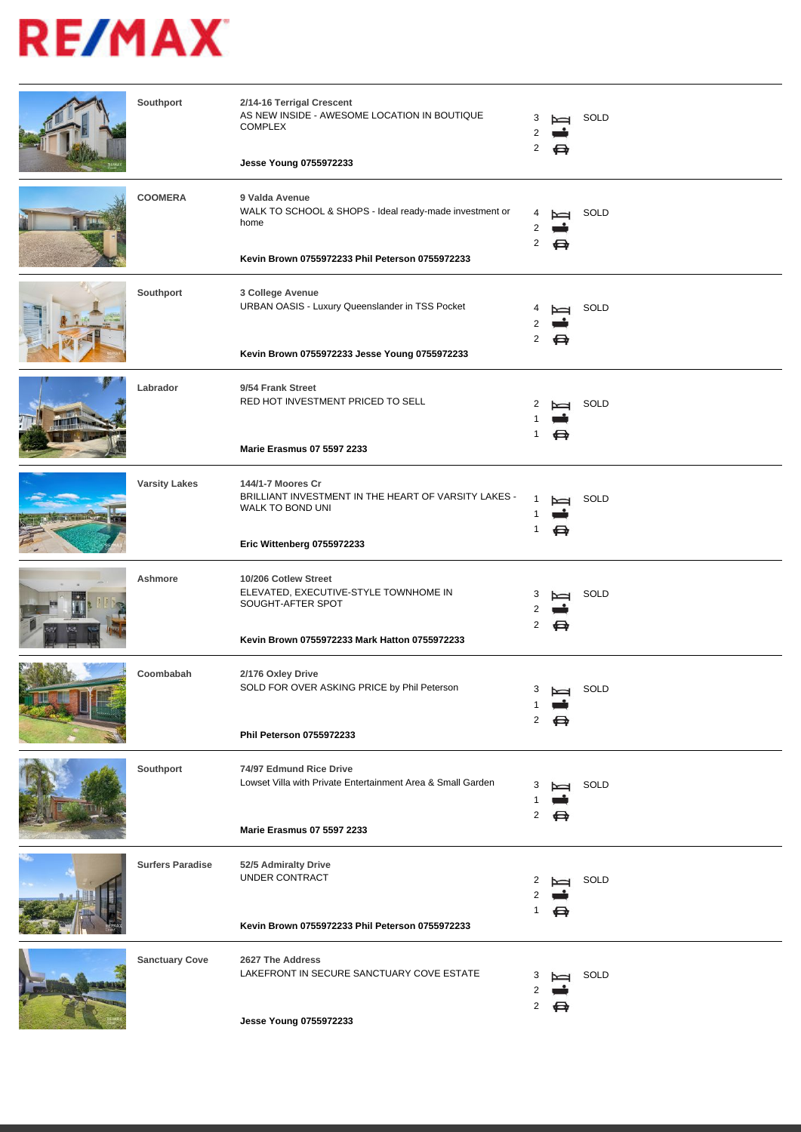| Southport               | 2/14-16 Terrigal Crescent<br>AS NEW INSIDE - AWESOME LOCATION IN BOUTIQUE<br><b>COMPLEX</b><br>Jesse Young 0755972233                | З<br>2 | ⇔      | SOLD |
|-------------------------|--------------------------------------------------------------------------------------------------------------------------------------|--------|--------|------|
| <b>COOMERA</b>          | 9 Valda Avenue<br>WALK TO SCHOOL & SHOPS - Ideal ready-made investment or<br>home<br>Kevin Brown 0755972233 Phil Peterson 0755972233 | 4<br>2 | ⇔      | SOLD |
| Southport               | 3 College Avenue<br>URBAN OASIS - Luxury Queenslander in TSS Pocket<br>Kevin Brown 0755972233 Jesse Young 0755972233                 | 2      | ⇔      | SOLD |
| Labrador                | 9/54 Frank Street<br>RED HOT INVESTMENT PRICED TO SELL<br><b>Marie Erasmus 07 5597 2233</b>                                          | 1      | ⇔      | SOLD |
| <b>Varsity Lakes</b>    | 144/1-7 Moores Cr<br>BRILLIANT INVESTMENT IN THE HEART OF VARSITY LAKES -<br>WALK TO BOND UNI<br>Eric Wittenberg 0755972233          | 1      | ⇔      | SOLD |
| Ashmore                 | 10/206 Cotlew Street<br>ELEVATED, EXECUTIVE-STYLE TOWNHOME IN<br>SOUGHT-AFTER SPOT<br>Kevin Brown 0755972233 Mark Hatton 0755972233  | 3<br>2 | I<br>⇔ | SOLD |
| Coombabah               | 2/176 Oxley Drive<br>SOLD FOR OVER ASKING PRICE by Phil Peterson<br>Phil Peterson 0755972233                                         | 3      |        | SOLD |
| Southport               | 74/97 Edmund Rice Drive<br>Lowset Villa with Private Entertainment Area & Small Garden<br><b>Marie Erasmus 07 5597 2233</b>          | 2      |        | SOLD |
| <b>Surfers Paradise</b> | 52/5 Admiralty Drive<br>UNDER CONTRACT<br>Kevin Brown 0755972233 Phil Peterson 0755972233                                            |        |        | SOLD |
| <b>Sanctuary Cove</b>   | 2627 The Address<br>LAKEFRONT IN SECURE SANCTUARY COVE ESTATE<br>Jesse Young 0755972233                                              | 2      |        | SOLD |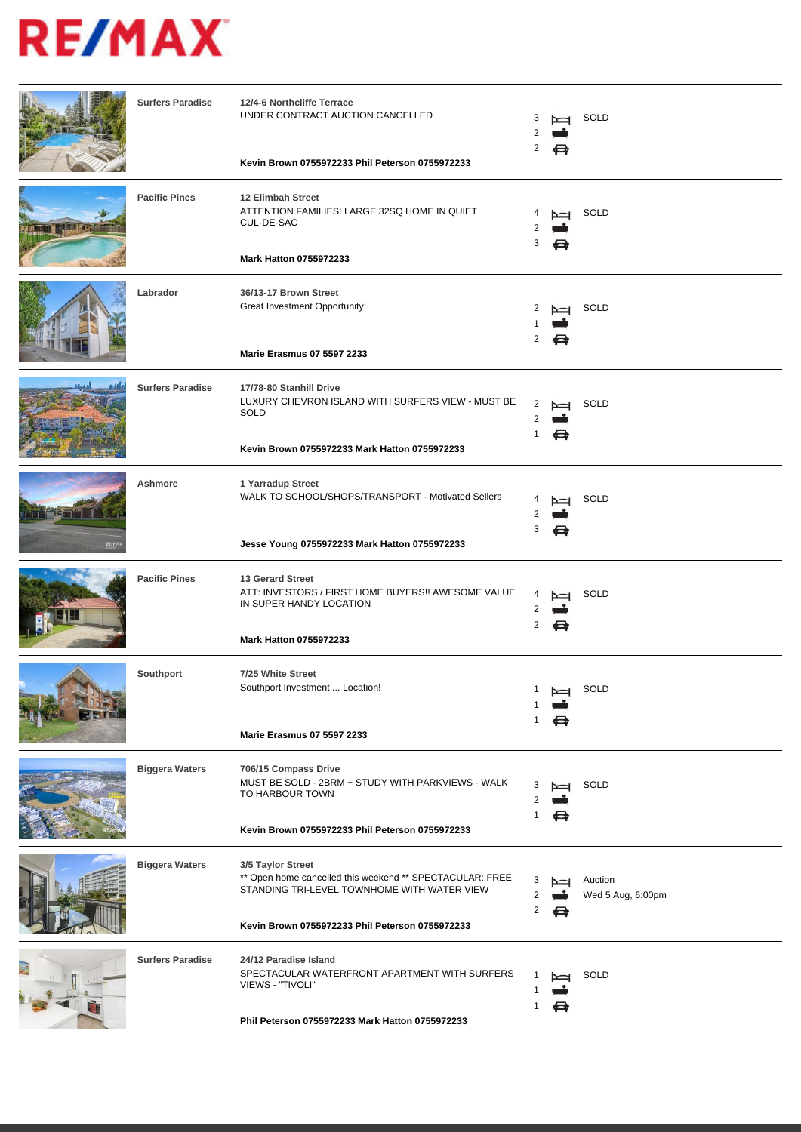| <b>Surfers Paradise</b> | 12/4-6 Northcliffe Terrace<br>UNDER CONTRACT AUCTION CANCELLED<br>Kevin Brown 0755972233 Phil Peterson 0755972233                                                               | З<br>2      | ⇔                  | SOLD                         |
|-------------------------|---------------------------------------------------------------------------------------------------------------------------------------------------------------------------------|-------------|--------------------|------------------------------|
| <b>Pacific Pines</b>    | 12 Elimbah Street<br>ATTENTION FAMILIES! LARGE 32SQ HOME IN QUIET<br>CUL-DE-SAC<br>Mark Hatton 0755972233                                                                       | 3           | ⇔                  | SOLD                         |
| Labrador                | 36/13-17 Brown Street<br>Great Investment Opportunity!<br>Marie Erasmus 07 5597 2233                                                                                            | 2<br>2      | ⇔                  | SOLD                         |
| <b>Surfers Paradise</b> | 17/78-80 Stanhill Drive<br>LUXURY CHEVRON ISLAND WITH SURFERS VIEW - MUST BE<br><b>SOLD</b><br>Kevin Brown 0755972233 Mark Hatton 0755972233                                    | 2           |                    | <b>SOLD</b>                  |
| Ashmore                 | 1 Yarradup Street<br>WALK TO SCHOOL/SHOPS/TRANSPORT - Motivated Sellers<br>Jesse Young 0755972233 Mark Hatton 0755972233                                                        | 3           |                    | SOLD                         |
| <b>Pacific Pines</b>    | 13 Gerard Street<br>ATT: INVESTORS / FIRST HOME BUYERS!! AWESOME VALUE<br>IN SUPER HANDY LOCATION<br><b>Mark Hatton 0755972233</b>                                              | 4<br>2<br>2 | $\overline{}$<br>⇔ | SOLD                         |
| Southport               | 7/25 White Street<br>Southport Investment  Location!<br><b>Marie Erasmus 07 5597 2233</b>                                                                                       |             |                    | SOLD                         |
| <b>Biggera Waters</b>   | 706/15 Compass Drive<br>MUST BE SOLD - 2BRM + STUDY WITH PARKVIEWS - WALK<br>TO HARBOUR TOWN<br>Kevin Brown 0755972233 Phil Peterson 0755972233                                 | 3<br>2      | ⇔                  | SOLD                         |
| <b>Biggera Waters</b>   | 3/5 Taylor Street<br>** Open home cancelled this weekend ** SPECTACULAR: FREE<br>STANDING TRI-LEVEL TOWNHOME WITH WATER VIEW<br>Kevin Brown 0755972233 Phil Peterson 0755972233 | 3<br>2      | ⇔                  | Auction<br>Wed 5 Aug, 6:00pm |
| <b>Surfers Paradise</b> | 24/12 Paradise Island<br>SPECTACULAR WATERFRONT APARTMENT WITH SURFERS<br>VIEWS - "TIVOLI"<br>Phil Peterson 0755972233 Mark Hatton 0755972233                                   |             |                    | SOLD                         |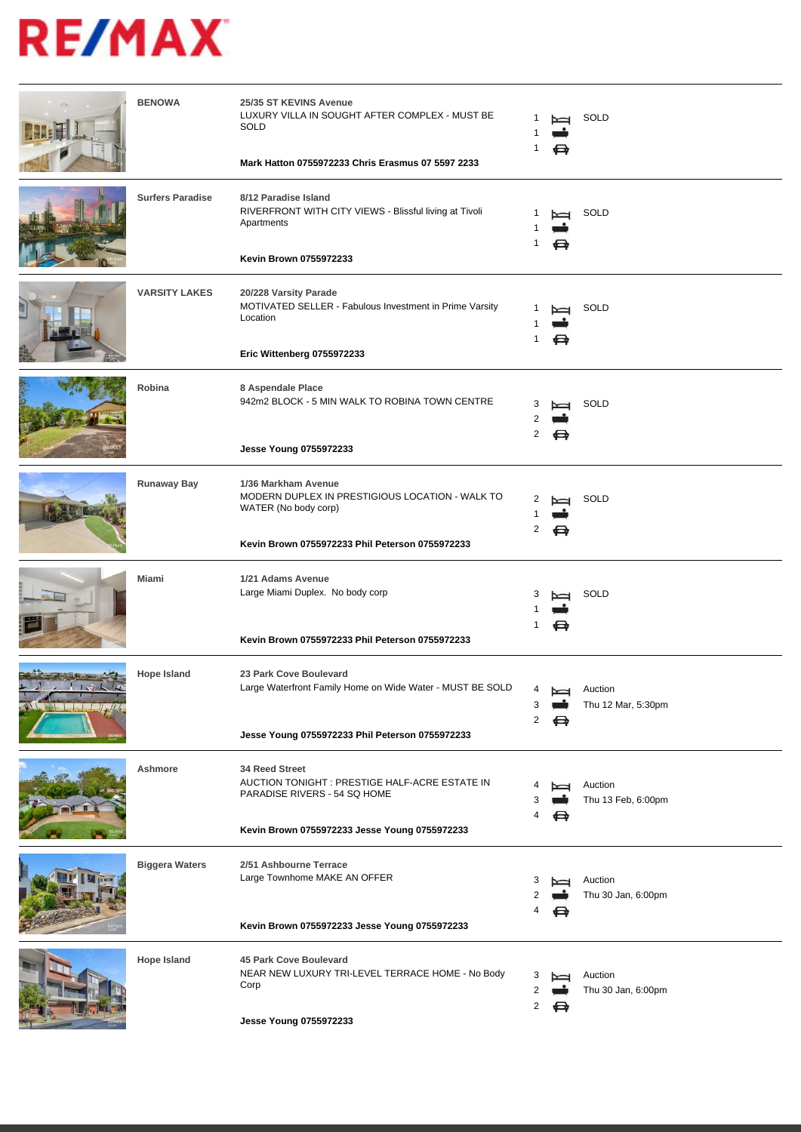|               | <b>BENOWA</b>           | 25/35 ST KEVINS Avenue<br>LUXURY VILLA IN SOUGHT AFTER COMPLEX - MUST BE<br>SOLD<br>Mark Hatton 0755972233 Chris Erasmus 07 5597 2233             | 1           | ⇔      | SOLD                          |
|---------------|-------------------------|---------------------------------------------------------------------------------------------------------------------------------------------------|-------------|--------|-------------------------------|
|               | <b>Surfers Paradise</b> | 8/12 Paradise Island<br>RIVERFRONT WITH CITY VIEWS - Blissful living at Tivoli<br>Apartments<br>Kevin Brown 0755972233                            |             | N<br>⇔ | SOLD                          |
|               | <b>VARSITY LAKES</b>    | 20/228 Varsity Parade<br>MOTIVATED SELLER - Fabulous Investment in Prime Varsity<br>Location<br>Eric Wittenberg 0755972233                        | -1          | Z<br>⇔ | SOLD                          |
|               | Robina                  | 8 Aspendale Place<br>942m2 BLOCK - 5 MIN WALK TO ROBINA TOWN CENTRE<br>Jesse Young 0755972233                                                     | 3<br>2      |        | SOLD                          |
|               | <b>Runaway Bay</b>      | 1/36 Markham Avenue<br>MODERN DUPLEX IN PRESTIGIOUS LOCATION - WALK TO<br>WATER (No body corp)<br>Kevin Brown 0755972233 Phil Peterson 0755972233 | 2<br>2      | ⇔      | SOLD                          |
|               | Miami                   | 1/21 Adams Avenue<br>Large Miami Duplex. No body corp<br>Kevin Brown 0755972233 Phil Peterson 0755972233                                          | 3<br>1      | ⇔      | SOLD                          |
| $\frac{1}{2}$ | <b>Hope Island</b>      | 23 Park Cove Boulevard<br>Large Waterfront Family Home on Wide Water - MUST BE SOLD<br>Jesse Young 0755972233 Phil Peterson 0755972233            | 4<br>2      | N<br>⇔ | Auction<br>Thu 12 Mar, 5:30pm |
|               | Ashmore                 | 34 Reed Street<br>AUCTION TONIGHT : PRESTIGE HALF-ACRE ESTATE IN<br>PARADISE RIVERS - 54 SQ HOME<br>Kevin Brown 0755972233 Jesse Young 0755972233 | 4           | ⇔      | Auction<br>Thu 13 Feb, 6:00pm |
|               | <b>Biggera Waters</b>   | 2/51 Ashbourne Terrace<br>Large Townhome MAKE AN OFFER<br>Kevin Brown 0755972233 Jesse Young 0755972233                                           | 3           | ⇔      | Auction<br>Thu 30 Jan, 6:00pm |
|               | <b>Hope Island</b>      | 45 Park Cove Boulevard<br>NEAR NEW LUXURY TRI-LEVEL TERRACE HOME - No Body<br>Corp<br>Jesse Young 0755972233                                      | 3<br>2<br>2 | ⇔      | Auction<br>Thu 30 Jan, 6:00pm |